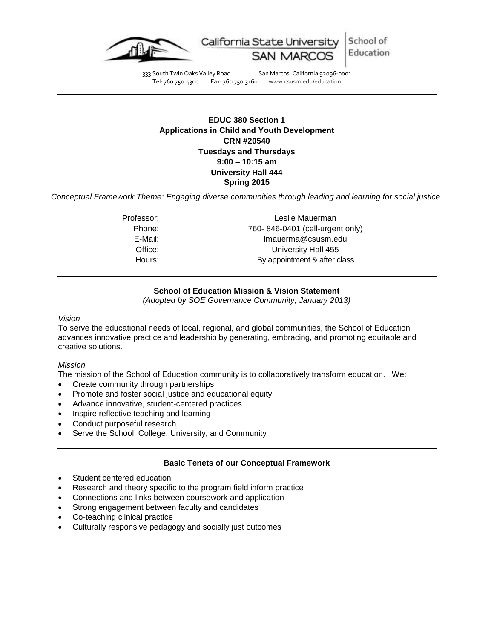

School of California State University Education

333 South Twin Oaks Valley Road San Marcos, California 92096-0001<br>Tel: 760.750.4300 Fax: 760.750.3160 www.csusm.edu/education

www.csusm.edu/education

## **EDUC 380 Section 1 Applications in Child and Youth Development CRN #20540 Tuesdays and Thursdays 9:00 – 10:15 am University Hall 444 Spring 2015**

*Conceptual Framework Theme: Engaging diverse communities through leading and learning for social justice.*

Professor: Leslie Mauerman Phone: 760- 846-0401 (cell-urgent only) E-Mail: lmauerma@csusm.edu Office: University Hall 455 Hours: By appointment & after class

## **School of Education Mission & Vision Statement**

*(Adopted by SOE Governance Community, January 2013)*

### *Vision*

To serve the educational needs of local, regional, and global communities, the School of Education advances innovative practice and leadership by generating, embracing, and promoting equitable and creative solutions.

### *Mission*

The mission of the School of Education community is to collaboratively transform education. We:

- Create community through partnerships
- Promote and foster social justice and educational equity
- Advance innovative, student-centered practices
- Inspire reflective teaching and learning
- Conduct purposeful research
- Serve the School, College, University, and Community

## **Basic Tenets of our Conceptual Framework**

- Student centered education
- Research and theory specific to the program field inform practice
- Connections and links between coursework and application
- Strong engagement between faculty and candidates
- Co-teaching clinical practice
- Culturally responsive pedagogy and socially just outcomes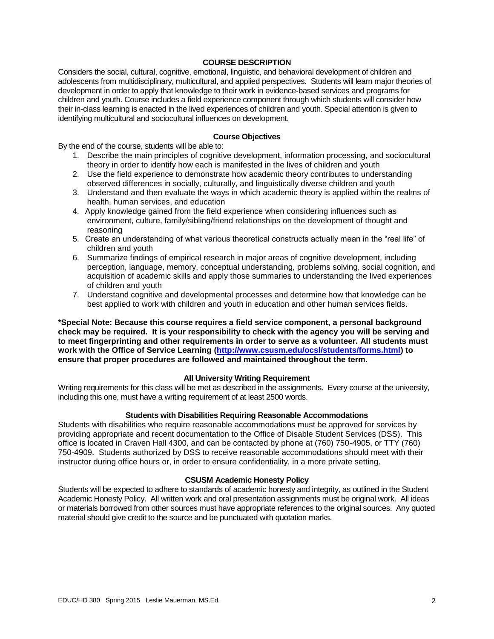## **COURSE DESCRIPTION**

Considers the social, cultural, cognitive, emotional, linguistic, and behavioral development of children and adolescents from multidisciplinary, multicultural, and applied perspectives. Students will learn major theories of development in order to apply that knowledge to their work in evidence-based services and programs for children and youth. Course includes a field experience component through which students will consider how their in-class learning is enacted in the lived experiences of children and youth. Special attention is given to identifying multicultural and sociocultural influences on development.

### **Course Objectives**

By the end of the course, students will be able to:

- 1. Describe the main principles of cognitive development, information processing, and sociocultural theory in order to identify how each is manifested in the lives of children and youth
- 2. Use the field experience to demonstrate how academic theory contributes to understanding observed differences in socially, culturally, and linguistically diverse children and youth
- 3. Understand and then evaluate the ways in which academic theory is applied within the realms of health, human services, and education
- 4. Apply knowledge gained from the field experience when considering influences such as environment, culture, family/sibling/friend relationships on the development of thought and reasoning
- 5. Create an understanding of what various theoretical constructs actually mean in the "real life" of children and youth
- 6. Summarize findings of empirical research in major areas of cognitive development, including perception, language, memory, conceptual understanding, problems solving, social cognition, and acquisition of academic skills and apply those summaries to understanding the lived experiences of children and youth
- 7. Understand cognitive and developmental processes and determine how that knowledge can be best applied to work with children and youth in education and other human services fields.

#### **\*Special Note: Because this course requires a field service component, a personal background check may be required. It is your responsibility to check with the agency you will be serving and to meet fingerprinting and other requirements in order to serve as a volunteer. All students must work with the Office of Service Learning [\(http://www.csusm.edu/ocsl/students/forms.html\)](http://www.csusm.edu/ocsl/students/forms.html) to ensure that proper procedures are followed and maintained throughout the term.**

#### **All University Writing Requirement**

Writing requirements for this class will be met as described in the assignments. Every course at the university, including this one, must have a writing requirement of at least 2500 words.

### **Students with Disabilities Requiring Reasonable Accommodations**

Students with disabilities who require reasonable accommodations must be approved for services by providing appropriate and recent documentation to the Office of Disable Student Services (DSS). This office is located in Craven Hall 4300, and can be contacted by phone at (760) 750-4905, or TTY (760) 750-4909. Students authorized by DSS to receive reasonable accommodations should meet with their instructor during office hours or, in order to ensure confidentiality, in a more private setting.

### **CSUSM Academic Honesty Policy**

Students will be expected to adhere to standards of academic honesty and integrity, as outlined in the Student Academic Honesty Policy. All written work and oral presentation assignments must be original work. All ideas or materials borrowed from other sources must have appropriate references to the original sources. Any quoted material should give credit to the source and be punctuated with quotation marks.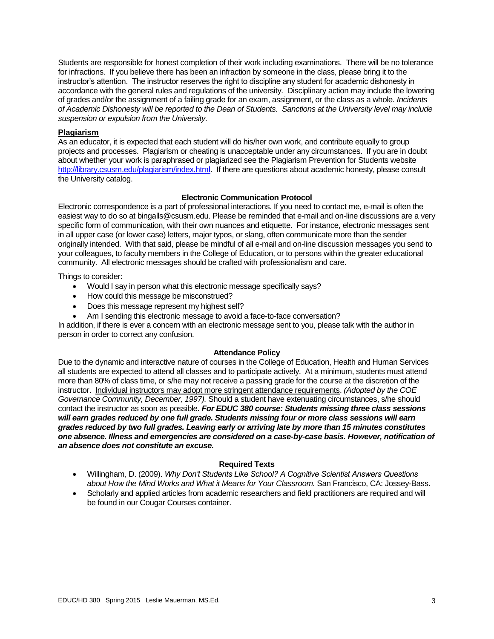Students are responsible for honest completion of their work including examinations. There will be no tolerance for infractions. If you believe there has been an infraction by someone in the class, please bring it to the instructor's attention. The instructor reserves the right to discipline any student for academic dishonesty in accordance with the general rules and regulations of the university. Disciplinary action may include the lowering of grades and/or the assignment of a failing grade for an exam, assignment, or the class as a whole. *Incidents of Academic Dishonesty will be reported to the Dean of Students. Sanctions at the University level may include suspension or expulsion from the University.*

#### **Plagiarism**

As an educator, it is expected that each student will do his/her own work, and contribute equally to group projects and processes. Plagiarism or cheating is unacceptable under any circumstances. If you are in doubt about whether your work is paraphrased or plagiarized see the Plagiarism Prevention for Students website [http://library.csusm.edu/plagiarism/index.html.](http://library.csusm.edu/plagiarism/index.html) If there are questions about academic honesty, please consult the University catalog.

#### **Electronic Communication Protocol**

Electronic correspondence is a part of professional interactions. If you need to contact me, e-mail is often the easiest way to do so at bingalls@csusm.edu. Please be reminded that e-mail and on-line discussions are a very specific form of communication, with their own nuances and etiquette. For instance, electronic messages sent in all upper case (or lower case) letters, major typos, or slang, often communicate more than the sender originally intended. With that said, please be mindful of all e-mail and on-line discussion messages you send to your colleagues, to faculty members in the College of Education, or to persons within the greater educational community. All electronic messages should be crafted with professionalism and care.

Things to consider:

- Would I say in person what this electronic message specifically says?
- How could this message be misconstrued?
- Does this message represent my highest self?
- Am I sending this electronic message to avoid a face-to-face conversation?

In addition, if there is ever a concern with an electronic message sent to you, please talk with the author in person in order to correct any confusion.

#### **Attendance Policy**

Due to the dynamic and interactive nature of courses in the College of Education, Health and Human Services all students are expected to attend all classes and to participate actively. At a minimum, students must attend more than 80% of class time, or s/he may not receive a passing grade for the course at the discretion of the instructor. Individual instructors may adopt more stringent attendance requirements. *(Adopted by the COE Governance Community, December, 1997).* Should a student have extenuating circumstances, s/he should contact the instructor as soon as possible. *For EDUC 380 course: Students missing three class sessions will earn grades reduced by one full grade. Students missing four or more class sessions will earn grades reduced by two full grades. Leaving early or arriving late by more than 15 minutes constitutes one absence. Illness and emergencies are considered on a case-by-case basis. However, notification of an absence does not constitute an excuse.* 

#### **Required Texts**

- Willingham, D. (2009). *Why Don't Students Like School? A Cognitive Scientist Answers Questions about How the Mind Works and What it Means for Your Classroom.* San Francisco, CA: Jossey-Bass.
- Scholarly and applied articles from academic researchers and field practitioners are required and will be found in our Cougar Courses container.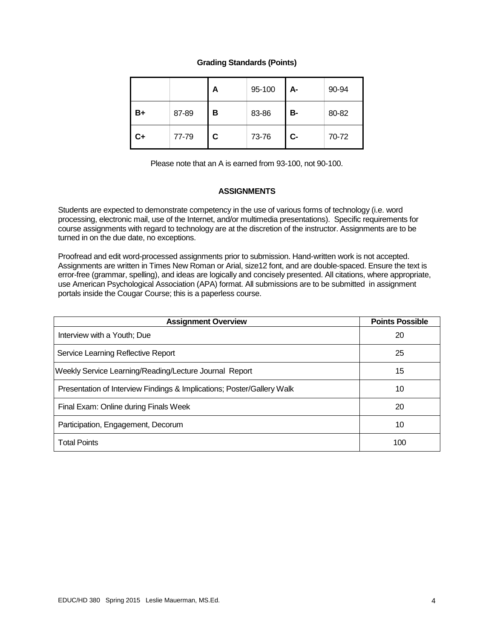## **Grading Standards (Points)**

|    |       | А | 95-100 | A-        | 90-94 |
|----|-------|---|--------|-----------|-------|
| B+ | 87-89 | в | 83-86  | <b>B-</b> | 80-82 |
| C+ | 77-79 | C | 73-76  | $C -$     | 70-72 |

Please note that an A is earned from 93-100, not 90-100.

## **ASSIGNMENTS**

Students are expected to demonstrate competency in the use of various forms of technology (i.e. word processing, electronic mail, use of the Internet, and/or multimedia presentations). Specific requirements for course assignments with regard to technology are at the discretion of the instructor. Assignments are to be turned in on the due date, no exceptions.

Proofread and edit word-processed assignments prior to submission. Hand-written work is not accepted. Assignments are written in Times New Roman or Arial, size12 font, and are double-spaced. Ensure the text is error-free (grammar, spelling), and ideas are logically and concisely presented. All citations, where appropriate, use American Psychological Association (APA) format. All submissions are to be submitted in assignment portals inside the Cougar Course; this is a paperless course.

| <b>Assignment Overview</b>                                             | <b>Points Possible</b> |
|------------------------------------------------------------------------|------------------------|
| Interview with a Youth; Due                                            | 20                     |
| Service Learning Reflective Report                                     | 25                     |
| Weekly Service Learning/Reading/Lecture Journal Report                 | 15                     |
| Presentation of Interview Findings & Implications; Poster/Gallery Walk | 10                     |
| Final Exam: Online during Finals Week                                  | 20                     |
| Participation, Engagement, Decorum                                     | 10                     |
| <b>Total Points</b>                                                    | 100                    |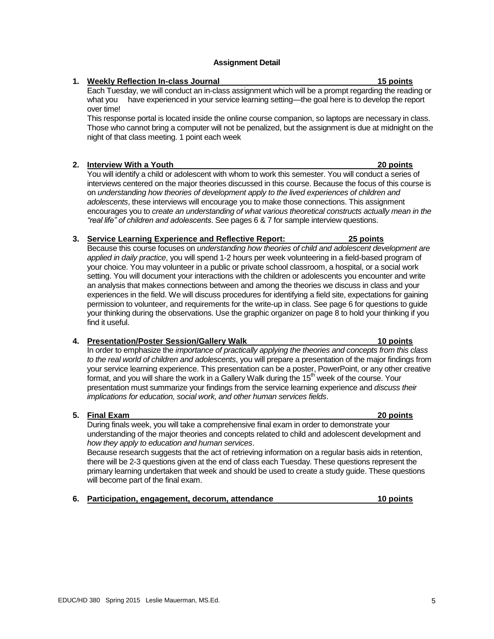#### **Assignment Detail**

# **1. Weekly Reflection In-class Journal 15 points** Each Tuesday, we will conduct an in-class assignment which will be a prompt regarding the reading or

what you have experienced in your service learning setting—the goal here is to develop the report over time!

This response portal is located inside the online course companion, so laptops are necessary in class. Those who cannot bring a computer will not be penalized, but the assignment is due at midnight on the night of that class meeting. 1 point each week

## **2. Interview With a Youth 20 points**

You will identify a child or adolescent with whom to work this semester. You will conduct a series of interviews centered on the major theories discussed in this course. Because the focus of this course is on *understanding how theories of development apply to the lived experiences of children and adolescents*, these interviews will encourage you to make those connections. This assignment encourages you to *create an understanding of what various theoretical constructs actually mean in the "real life" of children and adolescents*. See pages 6 & 7 for sample interview questions.

## **3. Service Learning Experience and Reflective Report: 25 points**

Because this course focuses on *understanding how theories of child and adolescent development are applied in daily practice*, you will spend 1-2 hours per week volunteering in a field-based program of your choice. You may volunteer in a public or private school classroom, a hospital, or a social work setting. You will document your interactions with the children or adolescents you encounter and write an analysis that makes connections between and among the theories we discuss in class and your experiences in the field. We will discuss procedures for identifying a field site, expectations for gaining permission to volunteer, and requirements for the write-up in class. See page 6 for questions to guide your thinking during the observations. Use the graphic organizer on page 8 to hold your thinking if you find it useful.

## **4. Presentation/Poster Session/Gallery Walk 10 points**

In order to emphasize the *importance of practically applying the theories and concepts from this class to the real world of children and adolescents*, you will prepare a presentation of the major findings from your service learning experience. This presentation can be a poster, PowerPoint, or any other creative format, and you will share the work in a Gallery Walk during the 15<sup>th</sup> week of the course. Your presentation must summarize your findings from the service learning experience and *discuss their implications for education, social work, and other human services fields*.

## **5. Final Exam 20 points**

During finals week, you will take a comprehensive final exam in order to demonstrate your understanding of the major theories and concepts related to child and adolescent development and *how they apply to education and human services*.

Because research suggests that the act of retrieving information on a regular basis aids in retention, there will be 2-3 questions given at the end of class each Tuesday. These questions represent the primary learning undertaken that week and should be used to create a study guide. These questions will become part of the final exam.

**6. Participation, engagement, decorum, attendance 10 points**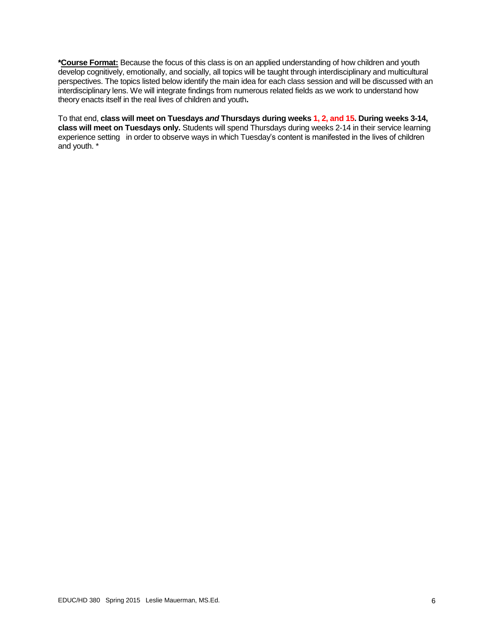**\*Course Format:** Because the focus of this class is on an applied understanding of how children and youth develop cognitively, emotionally, and socially, all topics will be taught through interdisciplinary and multicultural perspectives. The topics listed below identify the main idea for each class session and will be discussed with an interdisciplinary lens. We will integrate findings from numerous related fields as we work to understand how theory enacts itself in the real lives of children and youth**.**

To that end, **class will meet on Tuesdays** *and* **Thursdays during weeks 1, 2, and 15. During weeks 3-14, class will meet on Tuesdays only.** Students will spend Thursdays during weeks 2-14 in their service learning experience setting in order to observe ways in which Tuesday's content is manifested in the lives of children and youth. \*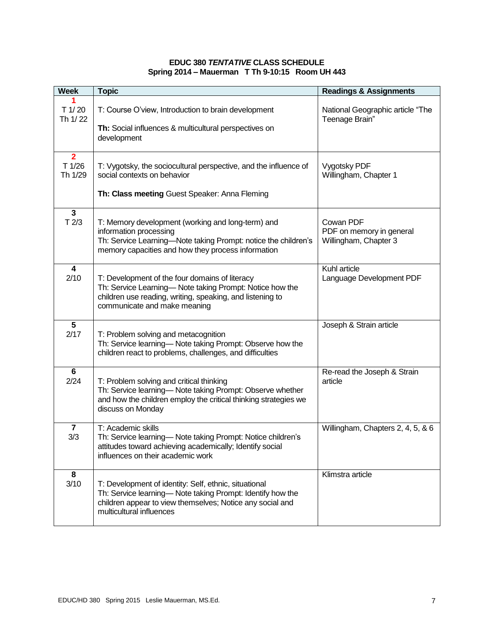## **EDUC 380** *TENTATIVE* **CLASS SCHEDULE Spring 2014 – Mauerman T Th 9-10:15 Room UH 443**

| <b>Week</b>                         | <b>Topic</b>                                                                                                                                                                                                 | <b>Readings &amp; Assignments</b>                              |
|-------------------------------------|--------------------------------------------------------------------------------------------------------------------------------------------------------------------------------------------------------------|----------------------------------------------------------------|
| $T$ 1/20<br>Th 1/22                 | T: Course O'view, Introduction to brain development<br>Th: Social influences & multicultural perspectives on<br>development                                                                                  | National Geographic article "The<br>Teenage Brain"             |
| $\overline{2}$<br>T 1/26<br>Th 1/29 | T: Vygotsky, the sociocultural perspective, and the influence of<br>social contexts on behavior<br>Th: Class meeting Guest Speaker: Anna Fleming                                                             | Vygotsky PDF<br>Willingham, Chapter 1                          |
| $\mathbf{3}$<br>T2/3                | T: Memory development (working and long-term) and<br>information processing<br>Th: Service Learning-Note taking Prompt: notice the children's<br>memory capacities and how they process information          | Cowan PDF<br>PDF on memory in general<br>Willingham, Chapter 3 |
| 4<br>2/10                           | T: Development of the four domains of literacy<br>Th: Service Learning- Note taking Prompt: Notice how the<br>children use reading, writing, speaking, and listening to<br>communicate and make meaning      | Kuhl article<br>Language Development PDF                       |
| $5\phantom{.0}$<br>2/17             | T: Problem solving and metacognition<br>Th: Service learning- Note taking Prompt: Observe how the<br>children react to problems, challenges, and difficulties                                                | Joseph & Strain article                                        |
| 6<br>2/24                           | T: Problem solving and critical thinking<br>Th: Service learning- Note taking Prompt: Observe whether<br>and how the children employ the critical thinking strategies we<br>discuss on Monday                | Re-read the Joseph & Strain<br>article                         |
| 7<br>3/3                            | T: Academic skills<br>Th: Service learning- Note taking Prompt: Notice children's<br>attitudes toward achieving academically; Identify social<br>influences on their academic work                           | Willingham, Chapters 2, 4, 5, & 6                              |
| 8<br>3/10                           | T: Development of identity: Self, ethnic, situational<br>Th: Service learning- Note taking Prompt: Identify how the<br>children appear to view themselves; Notice any social and<br>multicultural influences | Klimstra article                                               |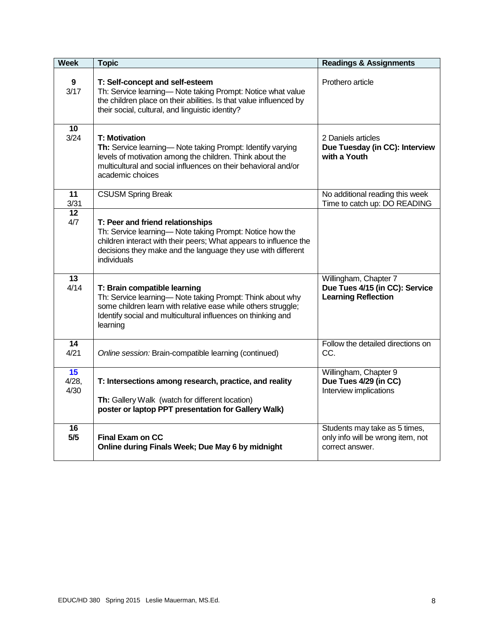| <b>Week</b>         | <b>Topic</b>                                                                                                                                                                                                                                     | <b>Readings &amp; Assignments</b>                                                     |
|---------------------|--------------------------------------------------------------------------------------------------------------------------------------------------------------------------------------------------------------------------------------------------|---------------------------------------------------------------------------------------|
| 9<br>3/17           | T: Self-concept and self-esteem<br>Th: Service learning- Note taking Prompt: Notice what value<br>the children place on their abilities. Is that value influenced by<br>their social, cultural, and linguistic identity?                         | Prothero article                                                                      |
| 10<br>3/24          | <b>T: Motivation</b><br>Th: Service learning- Note taking Prompt: Identify varying<br>levels of motivation among the children. Think about the<br>multicultural and social influences on their behavioral and/or<br>academic choices             | 2 Daniels articles<br>Due Tuesday (in CC): Interview<br>with a Youth                  |
| 11<br>3/31          | <b>CSUSM Spring Break</b>                                                                                                                                                                                                                        | No additional reading this week<br>Time to catch up: DO READING                       |
| 12<br>4/7           | T: Peer and friend relationships<br>Th: Service learning- Note taking Prompt: Notice how the<br>children interact with their peers; What appears to influence the<br>decisions they make and the language they use with different<br>individuals |                                                                                       |
| 13<br>4/14          | T: Brain compatible learning<br>Th: Service learning-Note taking Prompt: Think about why<br>some children learn with relative ease while others struggle;<br>Identify social and multicultural influences on thinking and<br>learning            | Willingham, Chapter 7<br>Due Tues 4/15 (in CC): Service<br><b>Learning Reflection</b> |
| 14<br>4/21          | Online session: Brain-compatible learning (continued)                                                                                                                                                                                            | Follow the detailed directions on<br>CC.                                              |
| 15<br>4/28,<br>4/30 | T: Intersections among research, practice, and reality<br>Th: Gallery Walk (watch for different location)<br>poster or laptop PPT presentation for Gallery Walk)                                                                                 | Willingham, Chapter 9<br>Due Tues 4/29 (in CC)<br>Interview implications              |
| 16<br>5/5           | <b>Final Exam on CC</b><br>Online during Finals Week; Due May 6 by midnight                                                                                                                                                                      | Students may take as 5 times,<br>only info will be wrong item, not<br>correct answer. |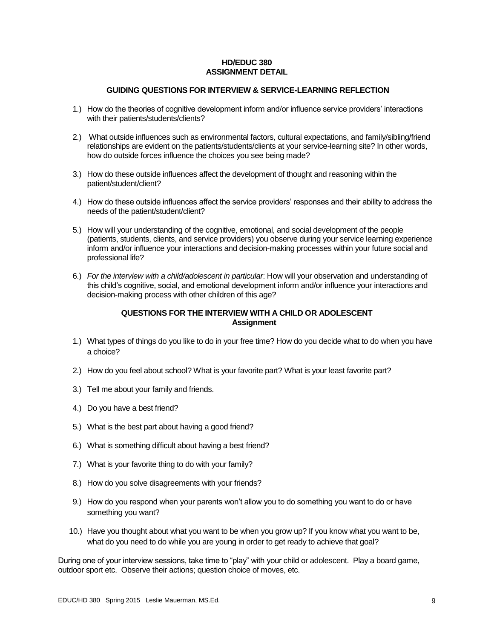## **HD/EDUC 380 ASSIGNMENT DETAIL**

### **GUIDING QUESTIONS FOR INTERVIEW & SERVICE-LEARNING REFLECTION**

- 1.) How do the theories of cognitive development inform and/or influence service providers' interactions with their patients/students/clients?
- 2.) What outside influences such as environmental factors, cultural expectations, and family/sibling/friend relationships are evident on the patients/students/clients at your service-learning site? In other words, how do outside forces influence the choices you see being made?
- 3.) How do these outside influences affect the development of thought and reasoning within the patient/student/client?
- 4.) How do these outside influences affect the service providers' responses and their ability to address the needs of the patient/student/client?
- 5.) How will your understanding of the cognitive, emotional, and social development of the people (patients, students, clients, and service providers) you observe during your service learning experience inform and/or influence your interactions and decision-making processes within your future social and professional life?
- 6.) *For the interview with a child/adolescent in particular*: How will your observation and understanding of this child's cognitive, social, and emotional development inform and/or influence your interactions and decision-making process with other children of this age?

## **QUESTIONS FOR THE INTERVIEW WITH A CHILD OR ADOLESCENT Assignment**

- 1.) What types of things do you like to do in your free time? How do you decide what to do when you have a choice?
- 2.) How do you feel about school? What is your favorite part? What is your least favorite part?
- 3.) Tell me about your family and friends.
- 4.) Do you have a best friend?
- 5.) What is the best part about having a good friend?
- 6.) What is something difficult about having a best friend?
- 7.) What is your favorite thing to do with your family?
- 8.) How do you solve disagreements with your friends?
- 9.) How do you respond when your parents won't allow you to do something you want to do or have something you want?
- 10.) Have you thought about what you want to be when you grow up? If you know what you want to be, what do you need to do while you are young in order to get ready to achieve that goal?

During one of your interview sessions, take time to "play" with your child or adolescent. Play a board game, outdoor sport etc. Observe their actions; question choice of moves, etc.